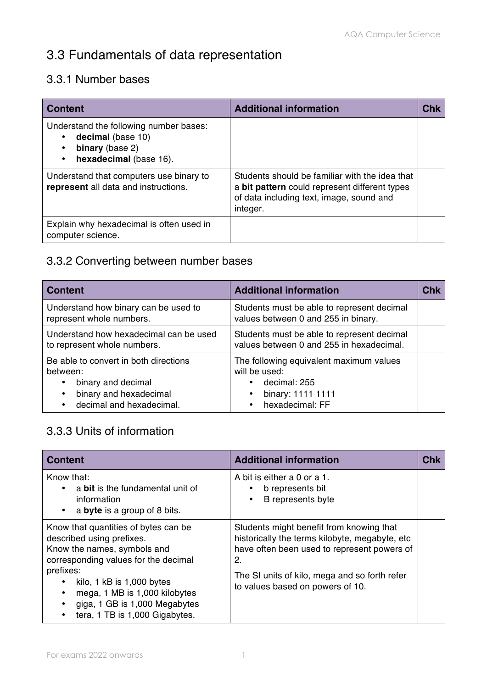# 3.3 Fundamentals of data representation

#### 3.3.1 Number bases

| <b>Content</b>                                                                                           | <b>Additional information</b>                                                                                                                           | Chk |
|----------------------------------------------------------------------------------------------------------|---------------------------------------------------------------------------------------------------------------------------------------------------------|-----|
| Understand the following number bases:<br>decimal (base 10)<br>binary (base 2)<br>hexadecimal (base 16). |                                                                                                                                                         |     |
| Understand that computers use binary to<br>represent all data and instructions.                          | Students should be familiar with the idea that<br>a bit pattern could represent different types<br>of data including text, image, sound and<br>integer. |     |
| Explain why hexadecimal is often used in<br>computer science.                                            |                                                                                                                                                         |     |

#### 3.3.2 Converting between number bases

| <b>Content</b>                                                                                                                | <b>Additional information</b>                                                                                                 | Chk |
|-------------------------------------------------------------------------------------------------------------------------------|-------------------------------------------------------------------------------------------------------------------------------|-----|
| Understand how binary can be used to<br>represent whole numbers.                                                              | Students must be able to represent decimal<br>values between 0 and 255 in binary.                                             |     |
| Understand how hexadecimal can be used<br>to represent whole numbers.                                                         | Students must be able to represent decimal<br>values between 0 and 255 in hexadecimal.                                        |     |
| Be able to convert in both directions<br>between:<br>binary and decimal<br>binary and hexadecimal<br>decimal and hexadecimal. | The following equivalent maximum values<br>will be used:<br>decimal: 255<br>binary: 1111 1111<br>hexadecimal: FF<br>$\bullet$ |     |

#### 3.3.3 Units of information

| <b>Content</b>                                                                                                                                                                                                                                                                                  | <b>Additional information</b>                                                                                                                                                                                                        | Chk |
|-------------------------------------------------------------------------------------------------------------------------------------------------------------------------------------------------------------------------------------------------------------------------------------------------|--------------------------------------------------------------------------------------------------------------------------------------------------------------------------------------------------------------------------------------|-----|
| Know that:<br>a bit is the fundamental unit of<br>information<br>a byte is a group of 8 bits.<br>$\bullet$                                                                                                                                                                                      | A bit is either a 0 or a 1.<br>b represents bit<br>B represents byte                                                                                                                                                                 |     |
| Know that quantities of bytes can be<br>described using prefixes.<br>Know the names, symbols and<br>corresponding values for the decimal<br>prefixes:<br>kilo, $1$ kB is $1,000$ bytes<br>٠<br>mega, 1 MB is 1,000 kilobytes<br>giga, 1 GB is 1,000 Megabytes<br>tera, 1 TB is 1,000 Gigabytes. | Students might benefit from knowing that<br>historically the terms kilobyte, megabyte, etc<br>have often been used to represent powers of<br>2.<br>The SI units of kilo, mega and so forth refer<br>to values based on powers of 10. |     |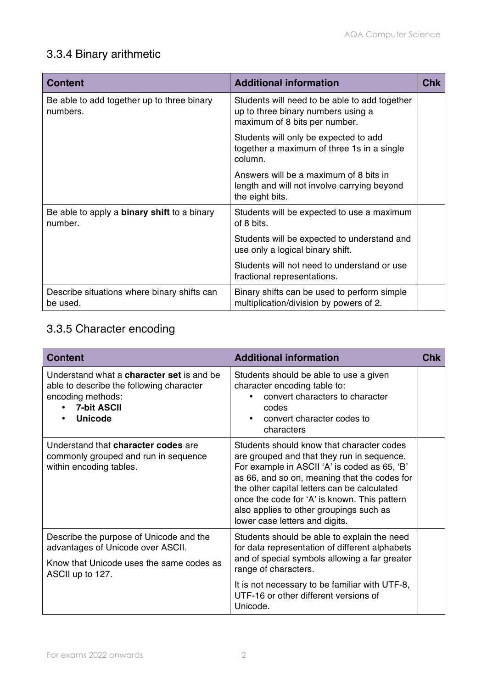# 3.3.4 Binary arithmetic

| <b>Content</b>                                                | <b>Additional information</b>                                                                                        | <b>Chk</b> |
|---------------------------------------------------------------|----------------------------------------------------------------------------------------------------------------------|------------|
| Be able to add together up to three binary<br>numbers.        | Students will need to be able to add together<br>up to three binary numbers using a<br>maximum of 8 bits per number. |            |
|                                                               | Students will only be expected to add<br>together a maximum of three 1s in a single<br>column.                       |            |
|                                                               | Answers will be a maximum of 8 bits in<br>length and will not involve carrying beyond<br>the eight bits.             |            |
| Be able to apply a <b>binary shift</b> to a binary<br>number. | Students will be expected to use a maximum<br>of 8 bits.                                                             |            |
|                                                               | Students will be expected to understand and<br>use only a logical binary shift.                                      |            |
|                                                               | Students will not need to understand or use<br>fractional representations.                                           |            |
| Describe situations where binary shifts can<br>be used.       | Binary shifts can be used to perform simple<br>multiplication/division by powers of 2.                               |            |

### 3.3.5 Character encoding

| <b>Content</b>                                                                                                                                            | <b>Additional information</b>                                                                                                                                                                                                                                                                                                                                       | Chk |
|-----------------------------------------------------------------------------------------------------------------------------------------------------------|---------------------------------------------------------------------------------------------------------------------------------------------------------------------------------------------------------------------------------------------------------------------------------------------------------------------------------------------------------------------|-----|
| Understand what a <b>character set</b> is and be<br>able to describe the following character<br>encoding methods:<br><b>7-bit ASCII</b><br><b>Unicode</b> | Students should be able to use a given<br>character encoding table to:<br>convert characters to character<br>codes<br>convert character codes to<br>characters                                                                                                                                                                                                      |     |
| Understand that character codes are<br>commonly grouped and run in sequence<br>within encoding tables.                                                    | Students should know that character codes<br>are grouped and that they run in sequence.<br>For example in ASCII 'A' is coded as 65, 'B'<br>as 66, and so on, meaning that the codes for<br>the other capital letters can be calculated<br>once the code for 'A' is known. This pattern<br>also applies to other groupings such as<br>lower case letters and digits. |     |
| Describe the purpose of Unicode and the<br>advantages of Unicode over ASCII.<br>Know that Unicode uses the same codes as<br>ASCII up to 127.              | Students should be able to explain the need<br>for data representation of different alphabets<br>and of special symbols allowing a far greater<br>range of characters.<br>It is not necessary to be familiar with UTF-8,<br>UTF-16 or other different versions of<br>Unicode.                                                                                       |     |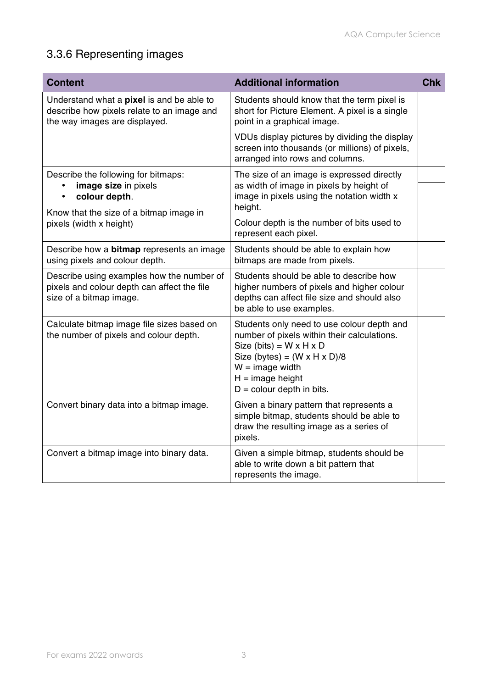# 3.3.6 Representing images

| <b>Content</b>                                                                                                                                                  | <b>Additional information</b>                                                                                                                                                                                                                                 | <b>Chk</b> |
|-----------------------------------------------------------------------------------------------------------------------------------------------------------------|---------------------------------------------------------------------------------------------------------------------------------------------------------------------------------------------------------------------------------------------------------------|------------|
| Understand what a pixel is and be able to<br>describe how pixels relate to an image and<br>the way images are displayed.                                        | Students should know that the term pixel is<br>short for Picture Element. A pixel is a single<br>point in a graphical image.                                                                                                                                  |            |
|                                                                                                                                                                 | VDUs display pictures by dividing the display<br>screen into thousands (or millions) of pixels,<br>arranged into rows and columns.                                                                                                                            |            |
| Describe the following for bitmaps:<br>image size in pixels<br>colour depth.<br>$\bullet$<br>Know that the size of a bitmap image in<br>pixels (width x height) | The size of an image is expressed directly<br>as width of image in pixels by height of<br>image in pixels using the notation width x<br>height.<br>Colour depth is the number of bits used to<br>represent each pixel.                                        |            |
| Describe how a <b>bitmap</b> represents an image<br>using pixels and colour depth.                                                                              | Students should be able to explain how<br>bitmaps are made from pixels.                                                                                                                                                                                       |            |
| Describe using examples how the number of<br>pixels and colour depth can affect the file<br>size of a bitmap image.                                             | Students should be able to describe how<br>higher numbers of pixels and higher colour<br>depths can affect file size and should also<br>be able to use examples.                                                                                              |            |
| Calculate bitmap image file sizes based on<br>the number of pixels and colour depth.                                                                            | Students only need to use colour depth and<br>number of pixels within their calculations.<br>Size (bits) = $W \times H \times D$<br>Size (bytes) = $(W \times H \times D)/8$<br>$W = \text{image width}$<br>$H = image height$<br>$D =$ colour depth in bits. |            |
| Convert binary data into a bitmap image.                                                                                                                        | Given a binary pattern that represents a<br>simple bitmap, students should be able to<br>draw the resulting image as a series of<br>pixels.                                                                                                                   |            |
| Convert a bitmap image into binary data.                                                                                                                        | Given a simple bitmap, students should be<br>able to write down a bit pattern that<br>represents the image.                                                                                                                                                   |            |